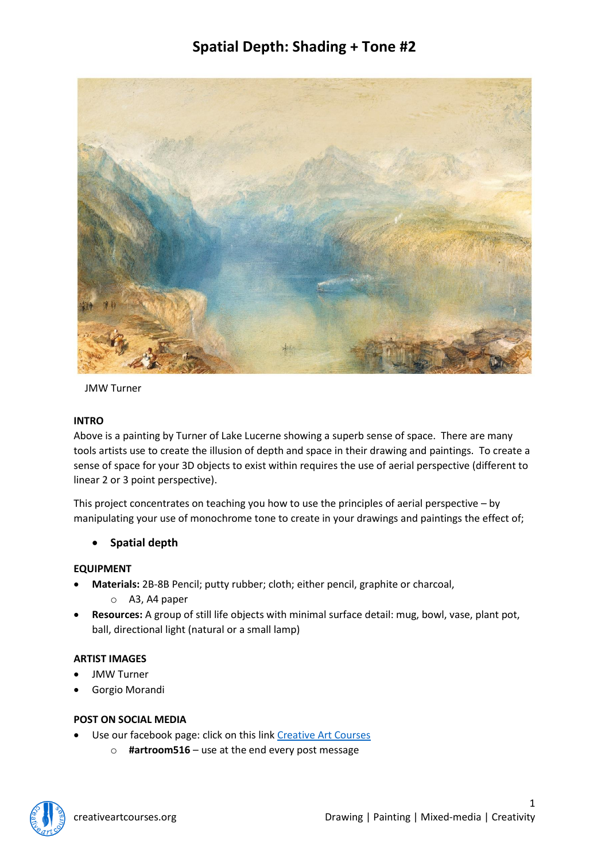

JMW Turner

#### **INTRO**

Above is a painting by Turner of Lake Lucerne showing a superb sense of space. There are many tools artists use to create the illusion of depth and space in their drawing and paintings. To create a sense of space for your 3D objects to exist within requires the use of aerial perspective (different to linear 2 or 3 point perspective).

This project concentrates on teaching you how to use the principles of aerial perspective – by manipulating your use of monochrome tone to create in your drawings and paintings the effect of;

• **Spatial depth**

### **EQUIPMENT**

- **Materials:** 2B-8B Pencil; putty rubber; cloth; either pencil, graphite or charcoal,
	- o A3, A4 paper
- **Resources:** A group of still life objects with minimal surface detail: mug, bowl, vase, plant pot, ball, directional light (natural or a small lamp)

### **ARTIST IMAGES**

- JMW Turner
- Gorgio Morandi

### **POST ON SOCIAL MEDIA**

- Use our facebook page: click on this link [Creative Art Courses](https://www.facebook.com/Creative-Art-Courses-102713489895837/?ref=bookmarks)
	- o **#artroom516** use at the end every post message

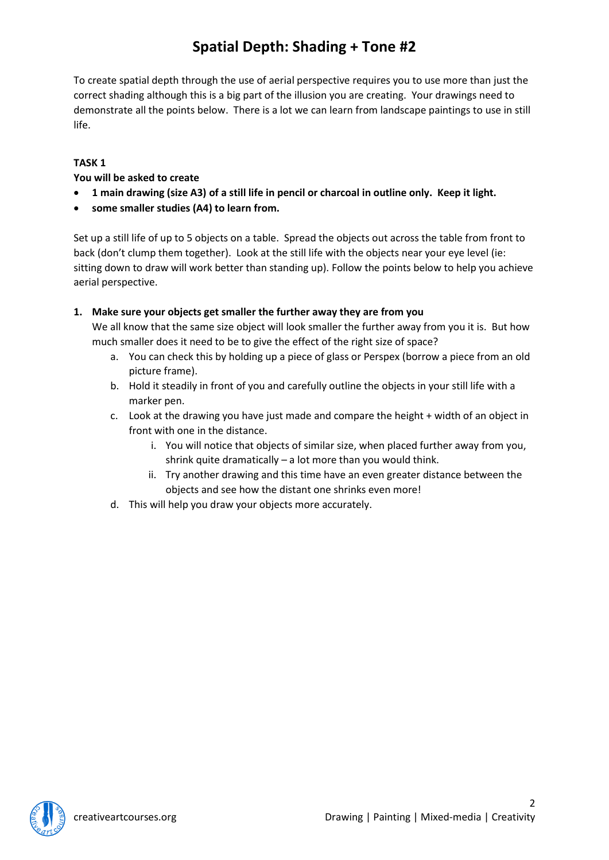To create spatial depth through the use of aerial perspective requires you to use more than just the correct shading although this is a big part of the illusion you are creating. Your drawings need to demonstrate all the points below. There is a lot we can learn from landscape paintings to use in still life.

### **TASK 1**

### **You will be asked to create**

- **1 main drawing (size A3) of a still life in pencil or charcoal in outline only. Keep it light.**
- **some smaller studies (A4) to learn from.**

Set up a still life of up to 5 objects on a table. Spread the objects out across the table from front to back (don't clump them together). Look at the still life with the objects near your eye level (ie: sitting down to draw will work better than standing up). Follow the points below to help you achieve aerial perspective.

### **1. Make sure your objects get smaller the further away they are from you**

We all know that the same size object will look smaller the further away from you it is. But how much smaller does it need to be to give the effect of the right size of space?

- a. You can check this by holding up a piece of glass or Perspex (borrow a piece from an old picture frame).
- b. Hold it steadily in front of you and carefully outline the objects in your still life with a marker pen.
- c. Look at the drawing you have just made and compare the height + width of an object in front with one in the distance.
	- i. You will notice that objects of similar size, when placed further away from you, shrink quite dramatically – a lot more than you would think.
	- ii. Try another drawing and this time have an even greater distance between the objects and see how the distant one shrinks even more!
- d. This will help you draw your objects more accurately.

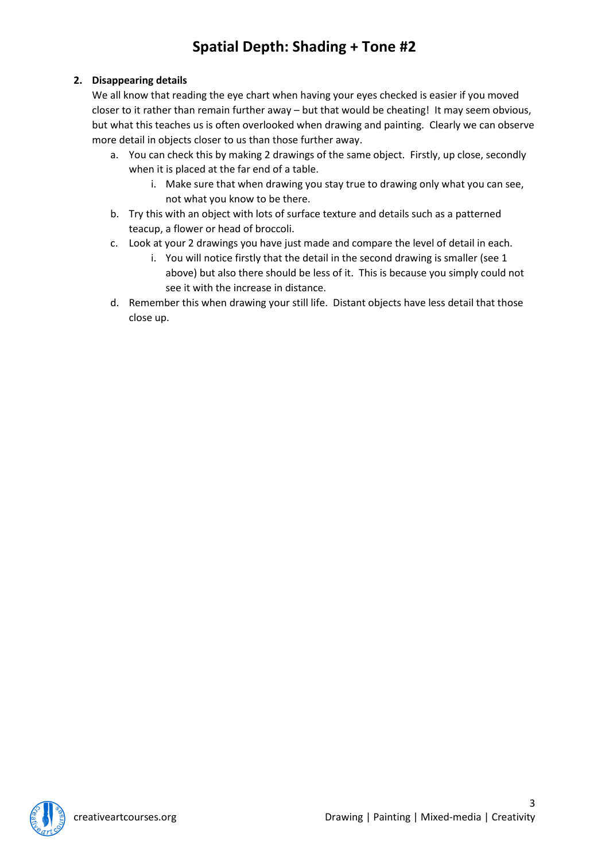### **2. Disappearing details**

We all know that reading the eye chart when having your eyes checked is easier if you moved closer to it rather than remain further away – but that would be cheating! It may seem obvious, but what this teaches us is often overlooked when drawing and painting. Clearly we can observe more detail in objects closer to us than those further away.

- a. You can check this by making 2 drawings of the same object. Firstly, up close, secondly when it is placed at the far end of a table.
	- i. Make sure that when drawing you stay true to drawing only what you can see, not what you know to be there.
- b. Try this with an object with lots of surface texture and details such as a patterned teacup, a flower or head of broccoli.
- c. Look at your 2 drawings you have just made and compare the level of detail in each.
	- i. You will notice firstly that the detail in the second drawing is smaller (see 1 above) but also there should be less of it. This is because you simply could not see it with the increase in distance.
- d. Remember this when drawing your still life. Distant objects have less detail that those close up.

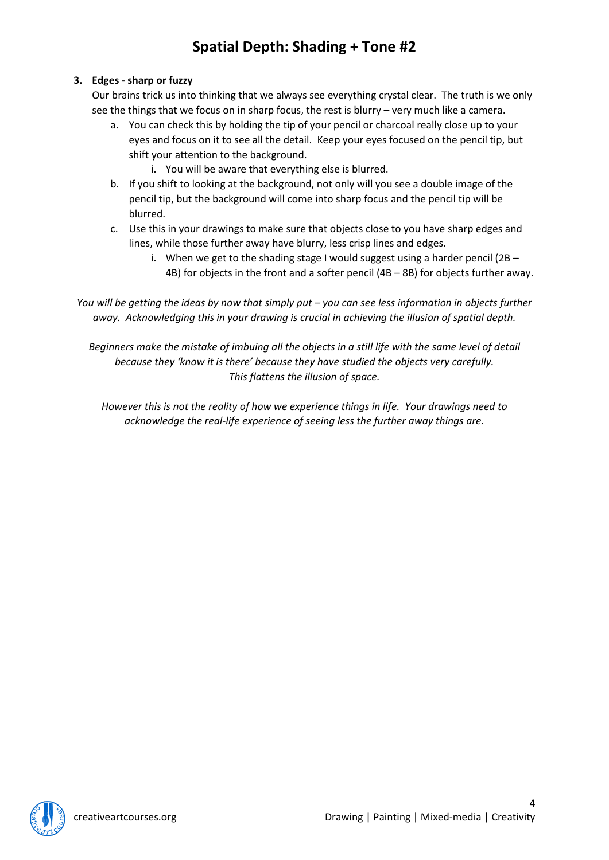### **3. Edges - sharp or fuzzy**

Our brains trick us into thinking that we always see everything crystal clear. The truth is we only see the things that we focus on in sharp focus, the rest is blurry – very much like a camera.

- a. You can check this by holding the tip of your pencil or charcoal really close up to your eyes and focus on it to see all the detail. Keep your eyes focused on the pencil tip, but shift your attention to the background.
	- i. You will be aware that everything else is blurred.
- b. If you shift to looking at the background, not only will you see a double image of the pencil tip, but the background will come into sharp focus and the pencil tip will be blurred.
- c. Use this in your drawings to make sure that objects close to you have sharp edges and lines, while those further away have blurry, less crisp lines and edges.
	- i. When we get to the shading stage I would suggest using a harder pencil (2B  $-$ 4B) for objects in the front and a softer pencil (4B – 8B) for objects further away.

*You will be getting the ideas by now that simply put – you can see less information in objects further away. Acknowledging this in your drawing is crucial in achieving the illusion of spatial depth.*

*Beginners make the mistake of imbuing all the objects in a still life with the same level of detail because they 'know it is there' because they have studied the objects very carefully. This flattens the illusion of space.*

*However this is not the reality of how we experience things in life. Your drawings need to acknowledge the real-life experience of seeing less the further away things are.*

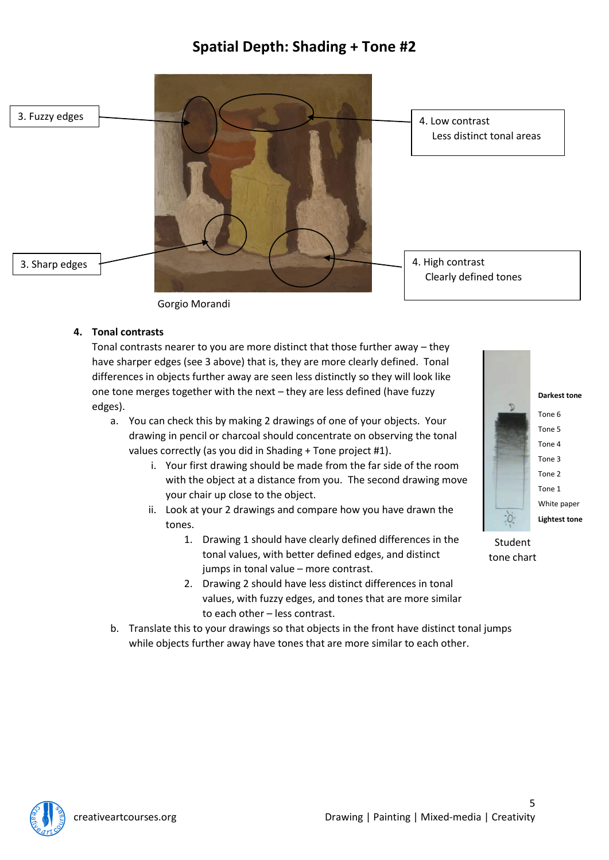

Gorgio Morandi

#### **4. Tonal contrasts**

Tonal contrasts nearer to you are more distinct that those further away – they have sharper edges (see 3 above) that is, they are more clearly defined. Tonal differences in objects further away are seen less distinctly so they will look like one tone merges together with the next – they are less defined (have fuzzy edges).

- a. You can check this by making 2 drawings of one of your objects. Your drawing in pencil or charcoal should concentrate on observing the tonal values correctly (as you did in Shading + Tone project #1).
	- i. Your first drawing should be made from the far side of the room with the object at a distance from you. The second drawing move your chair up close to the object.
	- ii. Look at your 2 drawings and compare how you have drawn the tones.
		- 1. Drawing 1 should have clearly defined differences in the tonal values, with better defined edges, and distinct jumps in tonal value – more contrast.
		- 2. Drawing 2 should have less distinct differences in tonal values, with fuzzy edges, and tones that are more similar to each other – less contrast.
- b. Translate this to your drawings so that objects in the front have distinct tonal jumps while objects further away have tones that are more similar to each other.



Student tone chart